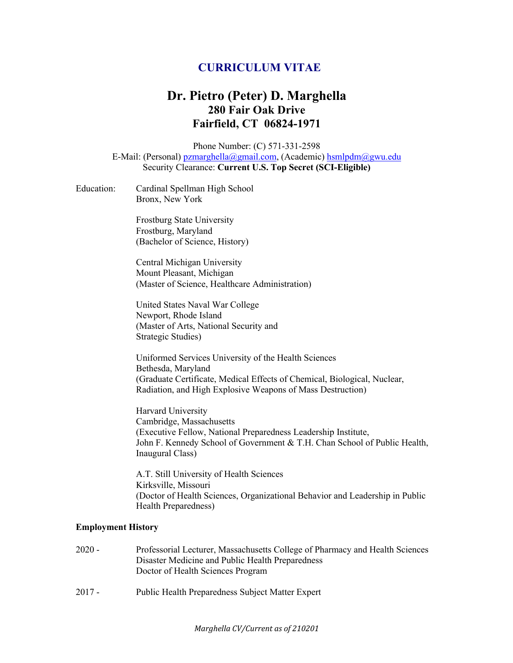# **CURRICULUM VITAE**

# **Dr. Pietro (Peter) D. Marghella 280 Fair Oak Drive Fairfield, CT 06824-1971**

Phone Number: (C) 571-331-2598 E-Mail: (Personal) pzmarghella@gmail.com, (Academic) hsmlpdm@gwu.edu Security Clearance: **Current U.S. Top Secret (SCI-Eligible)**

| Education: | Cardinal Spellman High School |
|------------|-------------------------------|
|            | Bronx, New York               |

Frostburg State University Frostburg, Maryland (Bachelor of Science, History)

Central Michigan University Mount Pleasant, Michigan (Master of Science, Healthcare Administration)

United States Naval War College Newport, Rhode Island (Master of Arts, National Security and Strategic Studies)

Uniformed Services University of the Health Sciences Bethesda, Maryland (Graduate Certificate, Medical Effects of Chemical, Biological, Nuclear, Radiation, and High Explosive Weapons of Mass Destruction)

Harvard University Cambridge, Massachusetts (Executive Fellow, National Preparedness Leadership Institute, John F. Kennedy School of Government & T.H. Chan School of Public Health, Inaugural Class)

A.T. Still University of Health Sciences Kirksville, Missouri (Doctor of Health Sciences, Organizational Behavior and Leadership in Public Health Preparedness)

#### **Employment History**

| $2020 -$ | Professorial Lecturer, Massachusetts College of Pharmacy and Health Sciences |
|----------|------------------------------------------------------------------------------|
|          | Disaster Medicine and Public Health Preparedness                             |
|          | Doctor of Health Sciences Program                                            |
|          |                                                                              |

2017 - Public Health Preparedness Subject Matter Expert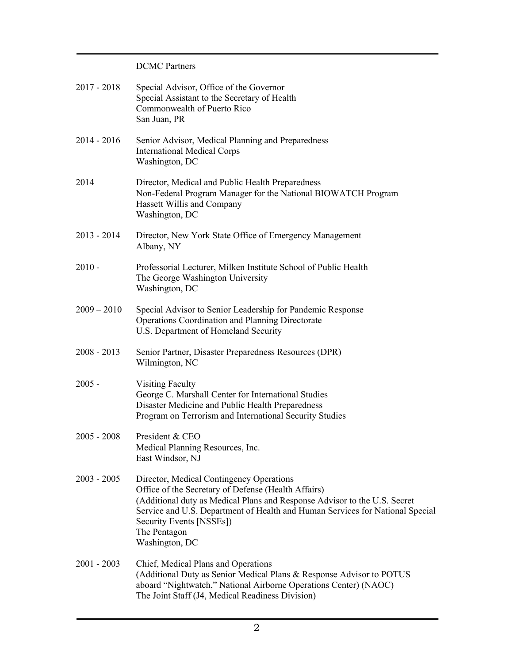### DCMC Partners

| $2017 - 2018$ | Special Advisor, Office of the Governor<br>Special Assistant to the Secretary of Health<br>Commonwealth of Puerto Rico<br>San Juan, PR                                                                                                                                                                                      |
|---------------|-----------------------------------------------------------------------------------------------------------------------------------------------------------------------------------------------------------------------------------------------------------------------------------------------------------------------------|
| $2014 - 2016$ | Senior Advisor, Medical Planning and Preparedness<br><b>International Medical Corps</b><br>Washington, DC                                                                                                                                                                                                                   |
| 2014          | Director, Medical and Public Health Preparedness<br>Non-Federal Program Manager for the National BIOWATCH Program<br>Hassett Willis and Company<br>Washington, DC                                                                                                                                                           |
| $2013 - 2014$ | Director, New York State Office of Emergency Management<br>Albany, NY                                                                                                                                                                                                                                                       |
| $2010 -$      | Professorial Lecturer, Milken Institute School of Public Health<br>The George Washington University<br>Washington, DC                                                                                                                                                                                                       |
| $2009 - 2010$ | Special Advisor to Senior Leadership for Pandemic Response<br>Operations Coordination and Planning Directorate<br>U.S. Department of Homeland Security                                                                                                                                                                      |
| $2008 - 2013$ | Senior Partner, Disaster Preparedness Resources (DPR)<br>Wilmington, NC                                                                                                                                                                                                                                                     |
| $2005 -$      | <b>Visiting Faculty</b><br>George C. Marshall Center for International Studies<br>Disaster Medicine and Public Health Preparedness<br>Program on Terrorism and International Security Studies                                                                                                                               |
| $2005 - 2008$ | President & CEO<br>Medical Planning Resources, Inc.<br>East Windsor, NJ                                                                                                                                                                                                                                                     |
| $2003 - 2005$ | Director, Medical Contingency Operations<br>Office of the Secretary of Defense (Health Affairs)<br>(Additional duty as Medical Plans and Response Advisor to the U.S. Secret<br>Service and U.S. Department of Health and Human Services for National Special<br>Security Events [NSSEs])<br>The Pentagon<br>Washington, DC |
| $2001 - 2003$ | Chief, Medical Plans and Operations<br>(Additional Duty as Senior Medical Plans & Response Advisor to POTUS<br>aboard "Nightwatch," National Airborne Operations Center) (NAOC)<br>The Joint Staff (J4, Medical Readiness Division)                                                                                         |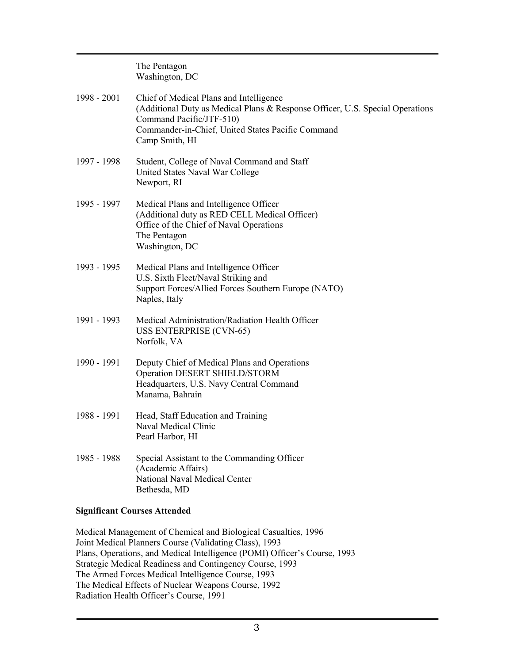The Pentagon Washington, DC

| 1998 - 2001 | Chief of Medical Plans and Intelligence<br>(Additional Duty as Medical Plans & Response Officer, U.S. Special Operations<br>Command Pacific/JTF-510)<br>Commander-in-Chief, United States Pacific Command<br>Camp Smith, HI |
|-------------|-----------------------------------------------------------------------------------------------------------------------------------------------------------------------------------------------------------------------------|
| 1997 - 1998 | Student, College of Naval Command and Staff<br>United States Naval War College<br>Newport, RI                                                                                                                               |
| 1995 - 1997 | Medical Plans and Intelligence Officer<br>(Additional duty as RED CELL Medical Officer)<br>Office of the Chief of Naval Operations<br>The Pentagon<br>Washington, DC                                                        |
| 1993 - 1995 | Medical Plans and Intelligence Officer<br>U.S. Sixth Fleet/Naval Striking and<br>Support Forces/Allied Forces Southern Europe (NATO)<br>Naples, Italy                                                                       |
| 1991 - 1993 | Medical Administration/Radiation Health Officer<br><b>USS ENTERPRISE (CVN-65)</b><br>Norfolk, VA                                                                                                                            |
| 1990 - 1991 | Deputy Chief of Medical Plans and Operations<br>Operation DESERT SHIELD/STORM<br>Headquarters, U.S. Navy Central Command<br>Manama, Bahrain                                                                                 |
| 1988 - 1991 | Head, Staff Education and Training<br>Naval Medical Clinic<br>Pearl Harbor, HI                                                                                                                                              |
| 1985 - 1988 | Special Assistant to the Commanding Officer<br>(Academic Affairs)<br>National Naval Medical Center<br>Bethesda, MD                                                                                                          |

### **Significant Courses Attended**

Medical Management of Chemical and Biological Casualties, 1996 Joint Medical Planners Course (Validating Class), 1993 Plans, Operations, and Medical Intelligence (POMI) Officer's Course, 1993 Strategic Medical Readiness and Contingency Course, 1993 The Armed Forces Medical Intelligence Course, 1993 The Medical Effects of Nuclear Weapons Course, 1992 Radiation Health Officer's Course, 1991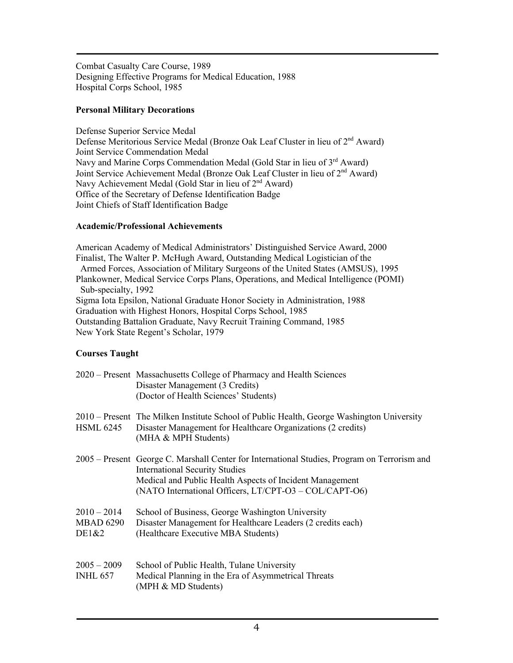Combat Casualty Care Course, 1989 Designing Effective Programs for Medical Education, 1988 Hospital Corps School, 1985

### **Personal Military Decorations**

Defense Superior Service Medal Defense Meritorious Service Medal (Bronze Oak Leaf Cluster in lieu of 2<sup>nd</sup> Award) Joint Service Commendation Medal Navy and Marine Corps Commendation Medal (Gold Star in lieu of 3<sup>rd</sup> Award) Joint Service Achievement Medal (Bronze Oak Leaf Cluster in lieu of 2nd Award) Navy Achievement Medal (Gold Star in lieu of 2<sup>nd</sup> Award) Office of the Secretary of Defense Identification Badge Joint Chiefs of Staff Identification Badge

### **Academic/Professional Achievements**

American Academy of Medical Administrators' Distinguished Service Award, 2000 Finalist, The Walter P. McHugh Award, Outstanding Medical Logistician of the Armed Forces, Association of Military Surgeons of the United States (AMSUS), 1995 Plankowner, Medical Service Corps Plans, Operations, and Medical Intelligence (POMI) Sub-specialty, 1992 Sigma Iota Epsilon, National Graduate Honor Society in Administration, 1988 Graduation with Highest Honors, Hospital Corps School, 1985 Outstanding Battalion Graduate, Navy Recruit Training Command, 1985 New York State Regent's Scholar, 1979

### **Courses Taught**

|                                            | 2020 – Present Massachusetts College of Pharmacy and Health Sciences<br>Disaster Management (3 Credits)<br>(Doctor of Health Sciences' Students)                                                                                                            |
|--------------------------------------------|-------------------------------------------------------------------------------------------------------------------------------------------------------------------------------------------------------------------------------------------------------------|
| <b>HSML 6245</b>                           | 2010 – Present The Milken Institute School of Public Health, George Washington University<br>Disaster Management for Healthcare Organizations (2 credits)<br>(MHA & MPH Students)                                                                           |
|                                            | 2005 – Present George C. Marshall Center for International Studies, Program on Terrorism and<br><b>International Security Studies</b><br>Medical and Public Health Aspects of Incident Management<br>(NATO International Officers, LT/CPT-O3 - COL/CAPT-O6) |
| $2010 - 2014$<br><b>MBAD 6290</b><br>DE1&2 | School of Business, George Washington University<br>Disaster Management for Healthcare Leaders (2 credits each)<br>(Healthcare Executive MBA Students)                                                                                                      |
| $2005 - 2009$<br><b>INHL 657</b>           | School of Public Health, Tulane University<br>Medical Planning in the Era of Asymmetrical Threats<br>(MPH & MD Students)                                                                                                                                    |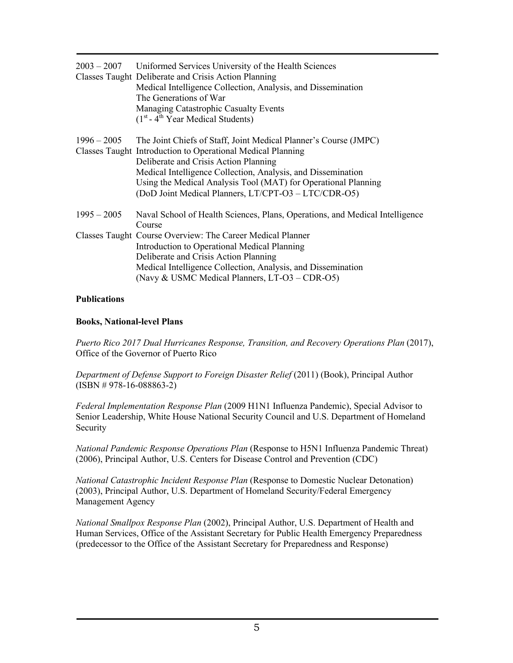|               | $2003 - 2007$ Uniformed Services University of the Health Sciences<br>Classes Taught Deliberate and Crisis Action Planning<br>Medical Intelligence Collection, Analysis, and Dissemination<br>The Generations of War<br>Managing Catastrophic Casualty Events<br>$(1st - 4th Year Medical Students)$                                                               |
|---------------|--------------------------------------------------------------------------------------------------------------------------------------------------------------------------------------------------------------------------------------------------------------------------------------------------------------------------------------------------------------------|
| $1996 - 2005$ | The Joint Chiefs of Staff, Joint Medical Planner's Course (JMPC)<br>Classes Taught Introduction to Operational Medical Planning<br>Deliberate and Crisis Action Planning<br>Medical Intelligence Collection, Analysis, and Dissemination<br>Using the Medical Analysis Tool (MAT) for Operational Planning<br>(DoD Joint Medical Planners, LT/CPT-O3 - LTC/CDR-O5) |
| $1995 - 2005$ | Naval School of Health Sciences, Plans, Operations, and Medical Intelligence<br>Course                                                                                                                                                                                                                                                                             |
|               | Classes Taught Course Overview: The Career Medical Planner<br>Introduction to Operational Medical Planning<br>Deliberate and Crisis Action Planning<br>Medical Intelligence Collection, Analysis, and Dissemination<br>(Navy & USMC Medical Planners, LT-O3 - CDR-O5)                                                                                              |

#### **Publications**

#### **Books, National-level Plans**

*Puerto Rico 2017 Dual Hurricanes Response, Transition, and Recovery Operations Plan (2017),* Office of the Governor of Puerto Rico

*Department of Defense Support to Foreign Disaster Relief* (2011) (Book), Principal Author  $(ISBN # 978-16-088863-2)$ 

*Federal Implementation Response Plan* (2009 H1N1 Influenza Pandemic), Special Advisor to Senior Leadership, White House National Security Council and U.S. Department of Homeland Security

*National Pandemic Response Operations Plan* (Response to H5N1 Influenza Pandemic Threat) (2006), Principal Author, U.S. Centers for Disease Control and Prevention (CDC)

*National Catastrophic Incident Response Plan* (Response to Domestic Nuclear Detonation) (2003), Principal Author, U.S. Department of Homeland Security/Federal Emergency Management Agency

*National Smallpox Response Plan* (2002), Principal Author, U.S. Department of Health and Human Services, Office of the Assistant Secretary for Public Health Emergency Preparedness (predecessor to the Office of the Assistant Secretary for Preparedness and Response)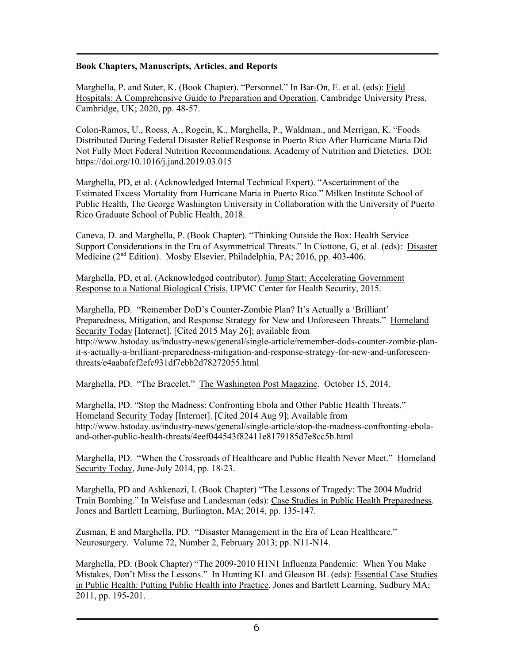#### **Book Chapters, Manuscripts, Articles, and Reports**

Marghella, P. and Suter, K. (Book Chapter). "Personnel." In Bar-On, E. et al. (eds): Field Hospitals: A Comprehensive Guide to Preparation and Operation. Cambridge University Press, Cambridge, UK; 2020, pp. 48-57.

Colon-Ramos, U., Roess, A., Rogein, K., Marghella, P., Waldman., and Merrigan, K. "Foods Distributed During Federal Disaster Relief Response in Puerto Rico After Hurricane Maria Did Not Fully Meet Federal Nutrition Recommendations. Academy of Nutrition and Dietetics. DOI: https://doi.org/10.1016/j.jand.2019.03.015

Marghella, PD, et al. (Acknowledged Internal Technical Expert). "Ascertainment of the Estimated Excess Mortality from Hurricane Maria in Puerto Rico." Milken Institute School of Public Health, The George Washington University in Collaboration with the University of Puerto Rico Graduate School of Public Health, 2018.

Caneva, D. and Marghella, P. (Book Chapter). "Thinking Outside the Box: Health Service Support Considerations in the Era of Asymmetrical Threats." In Ciottone, G, et al. (eds): Disaster Medicine (2nd Edition). Mosby Elsevier, Philadelphia, PA; 2016, pp. 403-406.

Marghella, PD, et al. (Acknowledged contributor). Jump Start: Accelerating Government Response to a National Biological Crisis, UPMC Center for Health Security, 2015.

Marghella, PD. "Remember DoD's Counter-Zombie Plan? It's Actually a 'Brilliant' Preparedness, Mitigation, and Response Strategy for New and Unforeseen Threats." Homeland Security Today [Internet]. [Cited 2015 May 26]; available from http://www.hstoday.us/industry-news/general/single-article/remember-dods-counter-zombie-planit-s-actually-a-brilliant-preparedness-mitigation-and-response-strategy-for-new-and-unforeseenthreats/e4aabafcf2efc931df7ebb2d78272055.html

Marghella, PD. "The Bracelet." The Washington Post Magazine. October 15, 2014.

Marghella, PD. "Stop the Madness: Confronting Ebola and Other Public Health Threats." Homeland Security Today [Internet]. [Cited 2014 Aug 9]; Available from http://www.hstoday.us/industry-news/general/single-article/stop-the-madness-confronting-ebolaand-other-public-health-threats/4eef044543f82411e8179185d7e8cc5b.html

Marghella, PD. "When the Crossroads of Healthcare and Public Health Never Meet." Homeland Security Today, June-July 2014, pp. 18-23.

Marghella, PD and Ashkenazi, I. (Book Chapter) "The Lessons of Tragedy: The 2004 Madrid Train Bombing." In Weisfuse and Landesman (eds): Case Studies in Public Health Preparedness. Jones and Bartlett Learning, Burlington, MA; 2014, pp. 135-147.

Zusman, E and Marghella, PD. "Disaster Management in the Era of Lean Healthcare." Neurosurgery. Volume 72, Number 2, February 2013; pp. N11-N14.

Marghella, PD. (Book Chapter) "The 2009-2010 H1N1 Influenza Pandemic: When You Make Mistakes, Don't Miss the Lessons." In Hunting KL and Gleason BL (eds): Essential Case Studies in Public Health: Putting Public Health into Practice. Jones and Bartlett Learning, Sudbury MA; 2011, pp. 195-201.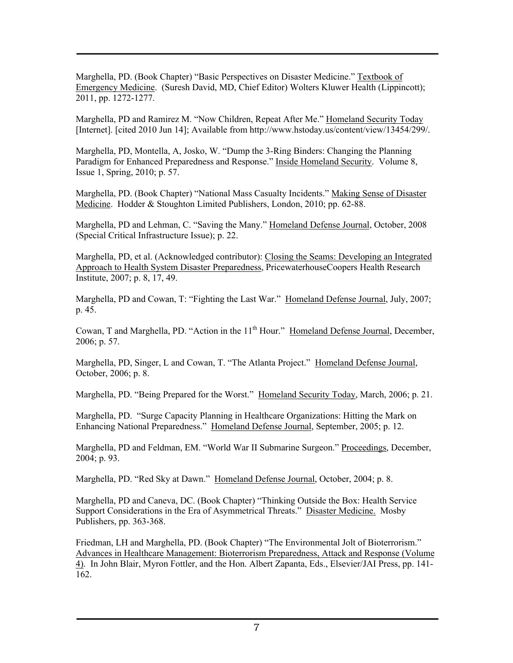Marghella, PD. (Book Chapter) "Basic Perspectives on Disaster Medicine." Textbook of Emergency Medicine. (Suresh David, MD, Chief Editor) Wolters Kluwer Health (Lippincott); 2011, pp. 1272-1277.

Marghella, PD and Ramirez M. "Now Children, Repeat After Me." Homeland Security Today [Internet]. [cited 2010 Jun 14]; Available from http://www.hstoday.us/content/view/13454/299/.

Marghella, PD, Montella, A, Josko, W. "Dump the 3-Ring Binders: Changing the Planning Paradigm for Enhanced Preparedness and Response." Inside Homeland Security. Volume 8, Issue 1, Spring, 2010; p. 57.

Marghella, PD. (Book Chapter) "National Mass Casualty Incidents." Making Sense of Disaster Medicine. Hodder & Stoughton Limited Publishers, London, 2010; pp. 62-88.

Marghella, PD and Lehman, C. "Saving the Many." Homeland Defense Journal, October, 2008 (Special Critical Infrastructure Issue); p. 22.

Marghella, PD, et al. (Acknowledged contributor): Closing the Seams: Developing an Integrated Approach to Health System Disaster Preparedness, PricewaterhouseCoopers Health Research Institute, 2007; p. 8, 17, 49.

Marghella, PD and Cowan, T: "Fighting the Last War." Homeland Defense Journal, July, 2007; p. 45.

Cowan, T and Marghella, PD. "Action in the 11<sup>th</sup> Hour." Homeland Defense Journal, December, 2006; p. 57.

Marghella, PD, Singer, L and Cowan, T. "The Atlanta Project." Homeland Defense Journal, October, 2006; p. 8.

Marghella, PD. "Being Prepared for the Worst." Homeland Security Today, March, 2006; p. 21.

Marghella, PD. "Surge Capacity Planning in Healthcare Organizations: Hitting the Mark on Enhancing National Preparedness." Homeland Defense Journal, September, 2005; p. 12.

Marghella, PD and Feldman, EM. "World War II Submarine Surgeon." Proceedings, December, 2004; p. 93.

Marghella, PD. "Red Sky at Dawn." Homeland Defense Journal, October, 2004; p. 8.

Marghella, PD and Caneva, DC. (Book Chapter) "Thinking Outside the Box: Health Service Support Considerations in the Era of Asymmetrical Threats." Disaster Medicine. Mosby Publishers, pp. 363-368.

Friedman, LH and Marghella, PD. (Book Chapter) "The Environmental Jolt of Bioterrorism." Advances in Healthcare Management: Bioterrorism Preparedness, Attack and Response (Volume 4). In John Blair, Myron Fottler, and the Hon. Albert Zapanta, Eds., Elsevier/JAI Press, pp. 141- 162.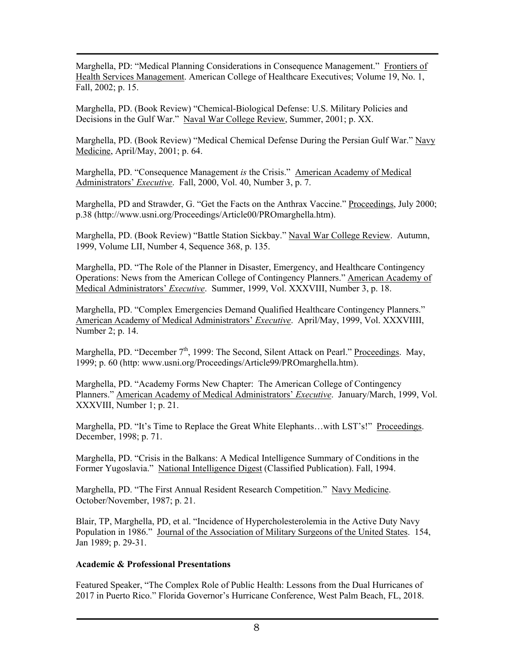Marghella, PD: "Medical Planning Considerations in Consequence Management." Frontiers of Health Services Management. American College of Healthcare Executives; Volume 19, No. 1, Fall, 2002; p. 15.

Marghella, PD. (Book Review) "Chemical-Biological Defense: U.S. Military Policies and Decisions in the Gulf War." Naval War College Review, Summer, 2001; p. XX.

Marghella, PD. (Book Review) "Medical Chemical Defense During the Persian Gulf War." Navy Medicine, April/May, 2001; p. 64.

Marghella, PD. "Consequence Management *is* the Crisis." American Academy of Medical Administrators' *Executive*. Fall, 2000, Vol. 40, Number 3, p. 7.

Marghella, PD and Strawder, G. "Get the Facts on the Anthrax Vaccine." Proceedings, July 2000; p.38 (http://www.usni.org/Proceedings/Article00/PROmarghella.htm).

Marghella, PD. (Book Review) "Battle Station Sickbay." Naval War College Review. Autumn, 1999, Volume LII, Number 4, Sequence 368, p. 135.

Marghella, PD. "The Role of the Planner in Disaster, Emergency, and Healthcare Contingency Operations: News from the American College of Contingency Planners." American Academy of Medical Administrators' *Executive*. Summer, 1999, Vol. XXXVIII, Number 3, p. 18.

Marghella, PD. "Complex Emergencies Demand Qualified Healthcare Contingency Planners." American Academy of Medical Administrators' *Executive*. April/May, 1999, Vol. XXXVIIII, Number 2; p. 14.

Marghella, PD. "December 7<sup>th</sup>, 1999: The Second, Silent Attack on Pearl." Proceedings. May, 1999; p. 60 (http: www.usni.org/Proceedings/Article99/PROmarghella.htm).

Marghella, PD. "Academy Forms New Chapter: The American College of Contingency Planners." American Academy of Medical Administrators' *Executive*. January/March, 1999, Vol. XXXVIII, Number 1; p. 21.

Marghella, PD. "It's Time to Replace the Great White Elephants…with LST's!" Proceedings. December, 1998; p. 71.

Marghella, PD. "Crisis in the Balkans: A Medical Intelligence Summary of Conditions in the Former Yugoslavia." National Intelligence Digest (Classified Publication). Fall, 1994.

Marghella, PD. "The First Annual Resident Research Competition." Navy Medicine. October/November, 1987; p. 21.

Blair, TP, Marghella, PD, et al. "Incidence of Hypercholesterolemia in the Active Duty Navy Population in 1986." Journal of the Association of Military Surgeons of the United States. 154, Jan 1989; p. 29-31.

#### **Academic & Professional Presentations**

Featured Speaker, "The Complex Role of Public Health: Lessons from the Dual Hurricanes of 2017 in Puerto Rico." Florida Governor's Hurricane Conference, West Palm Beach, FL, 2018.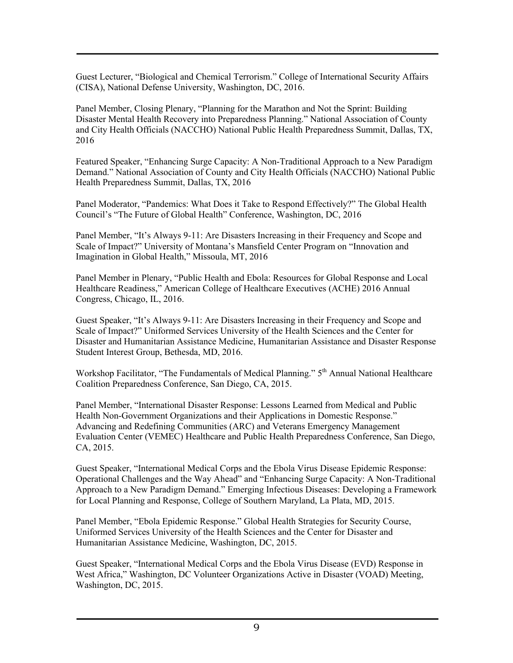Guest Lecturer, "Biological and Chemical Terrorism." College of International Security Affairs (CISA), National Defense University, Washington, DC, 2016.

Panel Member, Closing Plenary, "Planning for the Marathon and Not the Sprint: Building Disaster Mental Health Recovery into Preparedness Planning." National Association of County and City Health Officials (NACCHO) National Public Health Preparedness Summit, Dallas, TX, 2016

Featured Speaker, "Enhancing Surge Capacity: A Non-Traditional Approach to a New Paradigm Demand." National Association of County and City Health Officials (NACCHO) National Public Health Preparedness Summit, Dallas, TX, 2016

Panel Moderator, "Pandemics: What Does it Take to Respond Effectively?" The Global Health Council's "The Future of Global Health" Conference, Washington, DC, 2016

Panel Member, "It's Always 9-11: Are Disasters Increasing in their Frequency and Scope and Scale of Impact?" University of Montana's Mansfield Center Program on "Innovation and Imagination in Global Health," Missoula, MT, 2016

Panel Member in Plenary, "Public Health and Ebola: Resources for Global Response and Local Healthcare Readiness," American College of Healthcare Executives (ACHE) 2016 Annual Congress, Chicago, IL, 2016.

Guest Speaker, "It's Always 9-11: Are Disasters Increasing in their Frequency and Scope and Scale of Impact?" Uniformed Services University of the Health Sciences and the Center for Disaster and Humanitarian Assistance Medicine, Humanitarian Assistance and Disaster Response Student Interest Group, Bethesda, MD, 2016.

Workshop Facilitator, "The Fundamentals of Medical Planning." 5<sup>th</sup> Annual National Healthcare Coalition Preparedness Conference, San Diego, CA, 2015.

Panel Member, "International Disaster Response: Lessons Learned from Medical and Public Health Non-Government Organizations and their Applications in Domestic Response." Advancing and Redefining Communities (ARC) and Veterans Emergency Management Evaluation Center (VEMEC) Healthcare and Public Health Preparedness Conference, San Diego, CA, 2015.

Guest Speaker, "International Medical Corps and the Ebola Virus Disease Epidemic Response: Operational Challenges and the Way Ahead" and "Enhancing Surge Capacity: A Non-Traditional Approach to a New Paradigm Demand." Emerging Infectious Diseases: Developing a Framework for Local Planning and Response, College of Southern Maryland, La Plata, MD, 2015.

Panel Member, "Ebola Epidemic Response." Global Health Strategies for Security Course, Uniformed Services University of the Health Sciences and the Center for Disaster and Humanitarian Assistance Medicine, Washington, DC, 2015.

Guest Speaker, "International Medical Corps and the Ebola Virus Disease (EVD) Response in West Africa," Washington, DC Volunteer Organizations Active in Disaster (VOAD) Meeting, Washington, DC, 2015.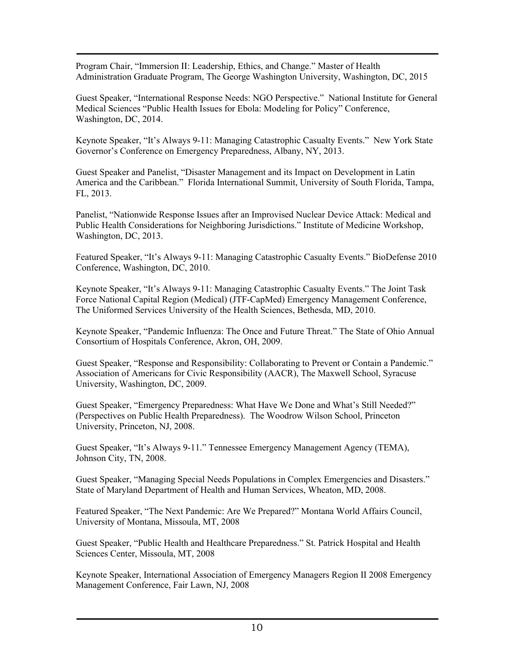Program Chair, "Immersion II: Leadership, Ethics, and Change." Master of Health Administration Graduate Program, The George Washington University, Washington, DC, 2015

Guest Speaker, "International Response Needs: NGO Perspective." National Institute for General Medical Sciences "Public Health Issues for Ebola: Modeling for Policy" Conference, Washington, DC, 2014.

Keynote Speaker, "It's Always 9-11: Managing Catastrophic Casualty Events." New York State Governor's Conference on Emergency Preparedness, Albany, NY, 2013.

Guest Speaker and Panelist, "Disaster Management and its Impact on Development in Latin America and the Caribbean." Florida International Summit, University of South Florida, Tampa, FL, 2013.

Panelist, "Nationwide Response Issues after an Improvised Nuclear Device Attack: Medical and Public Health Considerations for Neighboring Jurisdictions." Institute of Medicine Workshop, Washington, DC, 2013.

Featured Speaker, "It's Always 9-11: Managing Catastrophic Casualty Events." BioDefense 2010 Conference, Washington, DC, 2010.

Keynote Speaker, "It's Always 9-11: Managing Catastrophic Casualty Events." The Joint Task Force National Capital Region (Medical) (JTF-CapMed) Emergency Management Conference, The Uniformed Services University of the Health Sciences, Bethesda, MD, 2010.

Keynote Speaker, "Pandemic Influenza: The Once and Future Threat." The State of Ohio Annual Consortium of Hospitals Conference, Akron, OH, 2009.

Guest Speaker, "Response and Responsibility: Collaborating to Prevent or Contain a Pandemic." Association of Americans for Civic Responsibility (AACR), The Maxwell School, Syracuse University, Washington, DC, 2009.

Guest Speaker, "Emergency Preparedness: What Have We Done and What's Still Needed?" (Perspectives on Public Health Preparedness). The Woodrow Wilson School, Princeton University, Princeton, NJ, 2008.

Guest Speaker, "It's Always 9-11." Tennessee Emergency Management Agency (TEMA), Johnson City, TN, 2008.

Guest Speaker, "Managing Special Needs Populations in Complex Emergencies and Disasters." State of Maryland Department of Health and Human Services, Wheaton, MD, 2008.

Featured Speaker, "The Next Pandemic: Are We Prepared?" Montana World Affairs Council, University of Montana, Missoula, MT, 2008

Guest Speaker, "Public Health and Healthcare Preparedness." St. Patrick Hospital and Health Sciences Center, Missoula, MT, 2008

Keynote Speaker, International Association of Emergency Managers Region II 2008 Emergency Management Conference, Fair Lawn, NJ, 2008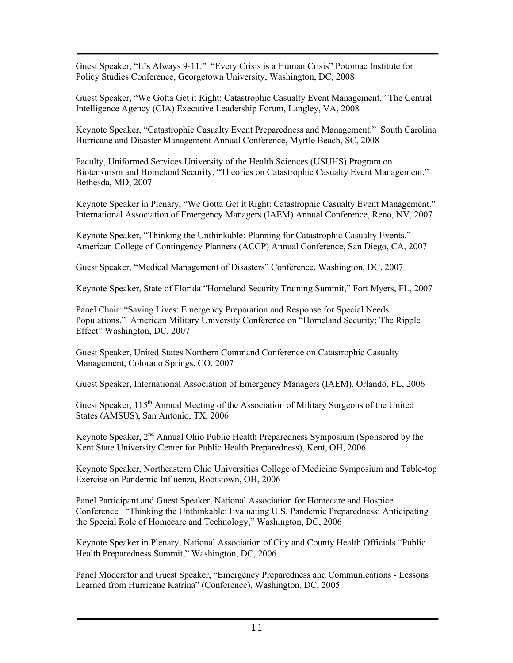Guest Speaker, "It's Always 9-11." "Every Crisis is a Human Crisis" Potomac Institute for Policy Studies Conference, Georgetown University, Washington, DC, 2008

Guest Speaker, "We Gotta Get it Right: Catastrophic Casualty Event Management." The Central Intelligence Agency (CIA) Executive Leadership Forum, Langley, VA, 2008

Keynote Speaker, "Catastrophic Casualty Event Preparedness and Management." South Carolina Hurricane and Disaster Management Annual Conference, Myrtle Beach, SC, 2008

Faculty, Uniformed Services University of the Health Sciences (USUHS) Program on Bioterrorism and Homeland Security, "Theories on Catastrophic Casualty Event Management," Bethesda, MD, 2007

Keynote Speaker in Plenary, "We Gotta Get it Right: Catastrophic Casualty Event Management." International Association of Emergency Managers (IAEM) Annual Conference, Reno, NV, 2007

Keynote Speaker, "Thinking the Unthinkable: Planning for Catastrophic Casualty Events." American College of Contingency Planners (ACCP) Annual Conference, San Diego, CA, 2007

Guest Speaker, "Medical Management of Disasters" Conference, Washington, DC, 2007

Keynote Speaker, State of Florida "Homeland Security Training Summit," Fort Myers, FL, 2007

Panel Chair: "Saving Lives: Emergency Preparation and Response for Special Needs Populations." American Military University Conference on "Homeland Security: The Ripple Effect" Washington, DC, 2007

Guest Speaker, United States Northern Command Conference on Catastrophic Casualty Management, Colorado Springs, CO, 2007

Guest Speaker, International Association of Emergency Managers (IAEM), Orlando, FL, 2006

Guest Speaker, 115<sup>th</sup> Annual Meeting of the Association of Military Surgeons of the United States (AMSUS), San Antonio, TX, 2006

Keynote Speaker,  $2<sup>nd</sup>$  Annual Ohio Public Health Preparedness Symposium (Sponsored by the Kent State University Center for Public Health Preparedness), Kent, OH, 2006

Keynote Speaker, Northeastern Ohio Universities College of Medicine Symposium and Table-top Exercise on Pandemic Influenza, Rootstown, OH, 2006

Panel Participant and Guest Speaker, National Association for Homecare and Hospice Conference "Thinking the Unthinkable: Evaluating U.S. Pandemic Preparedness: Anticipating the Special Role of Homecare and Technology," Washington, DC, 2006

Keynote Speaker in Plenary, National Association of City and County Health Officials "Public Health Preparedness Summit," Washington, DC, 2006

Panel Moderator and Guest Speaker, "Emergency Preparedness and Communications - Lessons Learned from Hurricane Katrina" (Conference), Washington, DC, 2005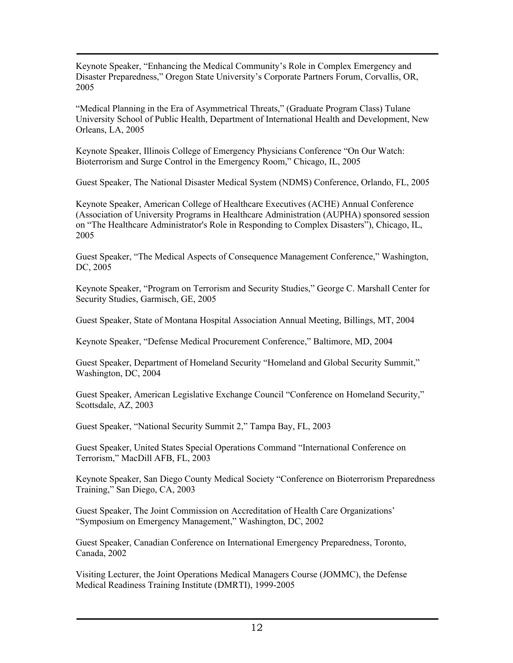Keynote Speaker, "Enhancing the Medical Community's Role in Complex Emergency and Disaster Preparedness," Oregon State University's Corporate Partners Forum, Corvallis, OR, 2005

"Medical Planning in the Era of Asymmetrical Threats," (Graduate Program Class) Tulane University School of Public Health, Department of International Health and Development, New Orleans, LA, 2005

Keynote Speaker, Illinois College of Emergency Physicians Conference "On Our Watch: Bioterrorism and Surge Control in the Emergency Room," Chicago, IL, 2005

Guest Speaker, The National Disaster Medical System (NDMS) Conference, Orlando, FL, 2005

Keynote Speaker, American College of Healthcare Executives (ACHE) Annual Conference (Association of University Programs in Healthcare Administration (AUPHA) sponsored session on "The Healthcare Administrator's Role in Responding to Complex Disasters"), Chicago, IL, 2005

Guest Speaker, "The Medical Aspects of Consequence Management Conference," Washington, DC, 2005

Keynote Speaker, "Program on Terrorism and Security Studies," George C. Marshall Center for Security Studies, Garmisch, GE, 2005

Guest Speaker, State of Montana Hospital Association Annual Meeting, Billings, MT, 2004

Keynote Speaker, "Defense Medical Procurement Conference," Baltimore, MD, 2004

Guest Speaker, Department of Homeland Security "Homeland and Global Security Summit," Washington, DC, 2004

Guest Speaker, American Legislative Exchange Council "Conference on Homeland Security," Scottsdale, AZ, 2003

Guest Speaker, "National Security Summit 2," Tampa Bay, FL, 2003

Guest Speaker, United States Special Operations Command "International Conference on Terrorism," MacDill AFB, FL, 2003

Keynote Speaker, San Diego County Medical Society "Conference on Bioterrorism Preparedness Training," San Diego, CA, 2003

Guest Speaker, The Joint Commission on Accreditation of Health Care Organizations' "Symposium on Emergency Management," Washington, DC, 2002

Guest Speaker, Canadian Conference on International Emergency Preparedness, Toronto, Canada, 2002

Visiting Lecturer, the Joint Operations Medical Managers Course (JOMMC), the Defense Medical Readiness Training Institute (DMRTI), 1999-2005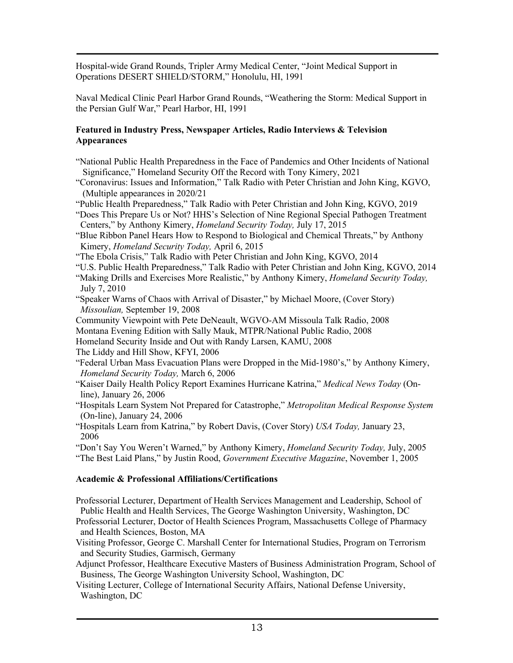Hospital-wide Grand Rounds, Tripler Army Medical Center, "Joint Medical Support in Operations DESERT SHIELD/STORM," Honolulu, HI, 1991

Naval Medical Clinic Pearl Harbor Grand Rounds, "Weathering the Storm: Medical Support in the Persian Gulf War," Pearl Harbor, HI, 1991

#### **Featured in Industry Press, Newspaper Articles, Radio Interviews & Television Appearances**

- "National Public Health Preparedness in the Face of Pandemics and Other Incidents of National Significance," Homeland Security Off the Record with Tony Kimery, 2021
- "Coronavirus: Issues and Information," Talk Radio with Peter Christian and John King, KGVO, (Multiple appearances in 2020/21
- "Public Health Preparedness," Talk Radio with Peter Christian and John King, KGVO, 2019
- "Does This Prepare Us or Not? HHS's Selection of Nine Regional Special Pathogen Treatment Centers," by Anthony Kimery, *Homeland Security Today,* July 17, 2015
- "Blue Ribbon Panel Hears How to Respond to Biological and Chemical Threats," by Anthony Kimery, *Homeland Security Today,* April 6, 2015
- "The Ebola Crisis," Talk Radio with Peter Christian and John King, KGVO, 2014
- "U.S. Public Health Preparedness," Talk Radio with Peter Christian and John King, KGVO, 2014
- "Making Drills and Exercises More Realistic," by Anthony Kimery, *Homeland Security Today,* July 7, 2010
- "Speaker Warns of Chaos with Arrival of Disaster," by Michael Moore, (Cover Story) *Missoulian,* September 19, 2008
- Community Viewpoint with Pete DeNeault, WGVO-AM Missoula Talk Radio, 2008
- Montana Evening Edition with Sally Mauk, MTPR/National Public Radio, 2008
- Homeland Security Inside and Out with Randy Larsen, KAMU, 2008

The Liddy and Hill Show, KFYI, 2006

- "Federal Urban Mass Evacuation Plans were Dropped in the Mid-1980's," by Anthony Kimery, *Homeland Security Today,* March 6, 2006
- "Kaiser Daily Health Policy Report Examines Hurricane Katrina," *Medical News Today* (On line), January 26, 2006
- "Hospitals Learn System Not Prepared for Catastrophe," *Metropolitan Medical Response System* (On-line), January 24, 2006
- "Hospitals Learn from Katrina," by Robert Davis, (Cover Story) *USA Today,* January 23, 2006

"Don't Say You Weren't Warned," by Anthony Kimery, *Homeland Security Today,* July, 2005 "The Best Laid Plans," by Justin Rood, *Government Executive Magazine*, November 1, 2005

## **Academic & Professional Affiliations/Certifications**

Professorial Lecturer, Department of Health Services Management and Leadership, School of Public Health and Health Services, The George Washington University, Washington, DC Professorial Lecturer, Doctor of Health Sciences Program, Massachusetts College of Pharmacy and Health Sciences, Boston, MA

Visiting Professor, George C. Marshall Center for International Studies, Program on Terrorism and Security Studies, Garmisch, Germany

Adjunct Professor, Healthcare Executive Masters of Business Administration Program, School of Business, The George Washington University School, Washington, DC

Visiting Lecturer, College of International Security Affairs, National Defense University, Washington, DC